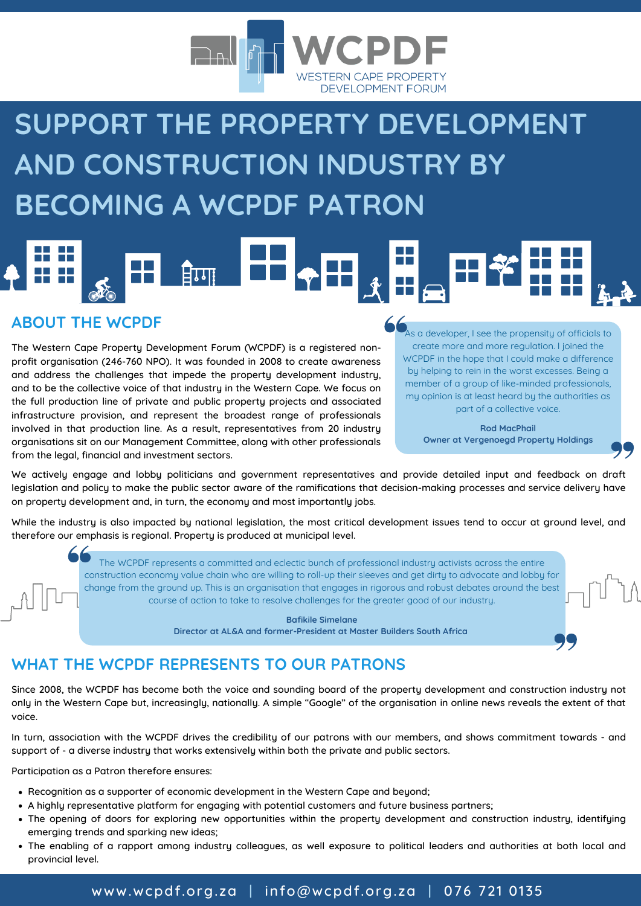

## **SUPPORT THE PROPERTY DEVELOPMENT AND CONSTRUCTION INDUSTRY BY BECOMING A WCPDF PATRON**

## **मिणा** laal

## **ABOUT THE WCPDF**

The Western Cape Property Development Forum (WCPDF) is a registered nonprofit organisation (246-760 NPO). It was founded in 2008 to create awareness and address the challenges that impede the property development industry, and to be the collective voice of that industry in the Western Cape. We focus on the full production line of private and public property projects and associated infrastructure provision, and represent the broadest range of professionals involved in that production line. As a result, representatives from 20 industry organisations sit on our Management Committee, along with other professionals from the legal, financial and investment sectors.

As a developer, I see the propensity of officials to create more and more regulation. I joined the WCPDF in the hope that I could make a difference by helping to rein in the worst excesses. Being a member of a group of like-minded professionals, my opinion is at least heard by the authorities as part of a collective voice.

> **Rod MacPhail Owner at Vergenoegd Property Holdings**

We actively engage and lobby politicians and government representatives and provide detailed input and feedback on draft legislation and policy to make the public sector aware of the ramifications that decision-making processes and service delivery have on property development and, in turn, the economy and most importantly jobs.

While the industry is also impacted by national legislation, the most critical development issues tend to occur at ground level, and therefore our emphasis is regional. Property is produced at municipal level.

> The WCPDF represents a committed and eclectic bunch of professional industry activists across the entire construction economy value chain who are willing to roll-up their sleeves and get dirty to advocate and lobby for change from the ground up. This is an organisation that engages in rigorous and robust debates around the best course of action to take to resolve challenges for the greater good of our industry.

> > **Bafikile Simelane Director at AL&A and former-President at Master Builders South Africa**

## **WHAT THE WCPDF REPRESENTS TO OUR PATRONS**

Since 2008, the WCPDF has become both the voice and sounding board of the property development and construction industry not only in the Western Cape but, increasingly, nationally. A simple "Google" of the organisation in online news reveals the extent of that voice.

In turn, association with the WCPDF drives the credibility of our patrons with our members, and shows commitment towards - and support of - a diverse industry that works extensively within both the private and public sectors.

Participation as a Patron therefore ensures:

- Recognition as a supporter of economic development in the Western Cape and beyond;
- A highly representative platform for engaging with potential customers and future business partners;
- The opening of doors for exploring new opportunities within the property development and construction industry, identifying emerging trends and sparking new ideas;
- The enabling of a rapport among industry colleagues, as well exposure to political leaders and authorities at both local and provincial level.